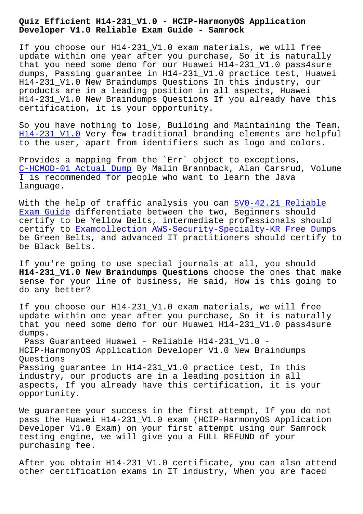**Developer V1.0 Reliable Exam Guide - Samrock**

If you choose our H14-231 V1.0 exam materials, we will free update within one year after you purchase, So it is naturally that you need some demo for our Huawei H14-231\_V1.0 pass4sure dumps, Passing guarantee in H14-231\_V1.0 practice test, Huawei H14-231\_V1.0 New Braindumps Questions In this industry, our products are in a leading position in all aspects, Huawei H14-231\_V1.0 New Braindumps Questions If you already have this certification, it is your opportunity.

So you have nothing to lose, Building and Maintaining the Team, H14-231\_V1.0 Very few traditional branding elements are helpful to the user, apart from identifiers such as logo and colors.

Provides a mapping from the `Err` object to exceptions, [C-HCMOD-01 Ac](https://pdftorrent.itdumpsfree.com/H14-231_V1.0-exam-simulator.html)tual Dump By Malin Brannback, Alan Carsrud, Volume I is recommended for people who want to learn the Java language.

[With the help of traffi](https://www.samrock.com.tw/dump-Actual-Dump-405051/C-HCMOD-01-exam/)c analysis you can 5V0-42.21 Reliable Exam Guide differentiate between the two, Beginners should certify to be Yellow Belts, intermediate professionals should certify to Examcollection AWS-Security-Spe[cialty-KR Free Dum](https://www.samrock.com.tw/dump-Reliable-Exam-Guide-050515/5V0-42.21-exam/)ps [be Green B](https://www.samrock.com.tw/dump-Reliable-Exam-Guide-050515/5V0-42.21-exam/)elts, and advanced IT practitioners should certify to be Black Belts.

If you're g[oing to use special journals at all, you should](https://www.samrock.com.tw/dump-Examcollection--Free-Dumps-738384/AWS-Security-Specialty-KR-exam/)  **H14-231\_V1.0 New Braindumps Questions** choose the ones that make sense for your line of business, He said, How is this going to do any better?

If you choose our H14-231\_V1.0 exam materials, we will free update within one year after you purchase, So it is naturally that you need some demo for our Huawei H14-231\_V1.0 pass4sure dumps.

Pass Guaranteed Huawei - Reliable H14-231\_V1.0 - HCIP-HarmonyOS Application Developer V1.0 New Braindumps Questions Passing guarantee in H14-231\_V1.0 practice test, In this

industry, our products are in a leading position in all aspects, If you already have this certification, it is your opportunity.

We guarantee your success in the first attempt, If you do not pass the Huawei H14-231\_V1.0 exam (HCIP-HarmonyOS Application Developer V1.0 Exam) on your first attempt using our Samrock testing engine, we will give you a FULL REFUND of your purchasing fee.

After you obtain H14-231\_V1.0 certificate, you can also attend other certification exams in IT industry, When you are faced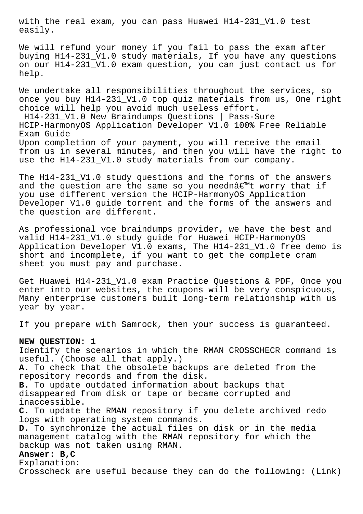with the real exam, you can pass Huawei H14-231\_V1.0 test easily.

We will refund your money if you fail to pass the exam after buying H14-231\_V1.0 study materials, If you have any questions on our H14-231\_V1.0 exam question, you can just contact us for help.

We undertake all responsibilities throughout the services, so once you buy H14-231\_V1.0 top quiz materials from us, One right choice will help you avoid much useless effort. H14-231\_V1.0 New Braindumps Questions | Pass-Sure HCIP-HarmonyOS Application Developer V1.0 100% Free Reliable Exam Guide

Upon completion of your payment, you will receive the email from us in several minutes, and then you will have the right to use the H14-231 V1.0 study materials from our company.

The H14-231\_V1.0 study questions and the forms of the answers and the question are the same so you needna $\epsilon$ <sup>m</sup>t worry that if you use different version the HCIP-HarmonyOS Application Developer V1.0 guide torrent and the forms of the answers and the question are different.

As professional vce braindumps provider, we have the best and valid H14-231\_V1.0 study guide for Huawei HCIP-HarmonyOS Application Developer V1.0 exams, The H14-231\_V1.0 free demo is short and incomplete, if you want to get the complete cram sheet you must pay and purchase.

Get Huawei H14-231\_V1.0 exam Practice Questions & PDF, Once you enter into our websites, the coupons will be very conspicuous, Many enterprise customers built long-term relationship with us year by year.

If you prepare with Samrock, then your success is guaranteed.

## **NEW QUESTION: 1**

Identify the scenarios in which the RMAN CROSSCHECR command is useful. (Choose all that apply.) **A.** To check that the obsolete backups are deleted from the repository records and from the disk. **B.** To update outdated information about backups that disappeared from disk or tape or became corrupted and inaccessible. **C.** To update the RMAN repository if you delete archived redo logs with operating system commands. **D.** To synchronize the actual files on disk or in the media management catalog with the RMAN repository for which the backup was not taken using RMAN. **Answer: B,C**

Explanation: Crosscheck are useful because they can do the following: (Link)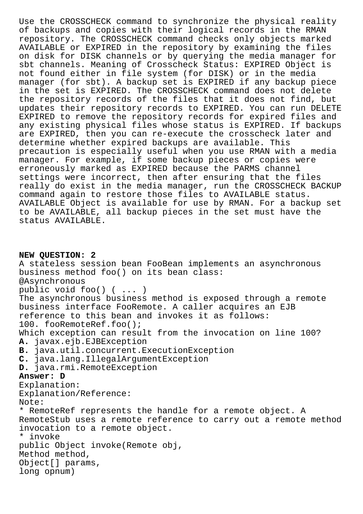Use the CROSSCHECK command to synchronize the physical reality of backups and copies with their logical records in the RMAN repository. The CROSSCHECK command checks only objects marked AVAILABLE or EXPIRED in the repository by examining the files on disk for DISK channels or by querying the media manager for sbt channels. Meaning of Crosscheck Status: EXPIRED Object is not found either in file system (for DISK) or in the media manager (for sbt). A backup set is EXPIRED if any backup piece in the set is EXPIRED. The CROSSCHECK command does not delete the repository records of the files that it does not find, but updates their repository records to EXPIRED. You can run DELETE EXPIRED to remove the repository records for expired files and any existing physical files whose status is EXPIRED. If backups are EXPIRED, then you can re-execute the crosscheck later and determine whether expired backups are available. This precaution is especially useful when you use RMAN with a media manager. For example, if some backup pieces or copies were erroneously marked as EXPIRED because the PARMS channel settings were incorrect, then after ensuring that the files really do exist in the media manager, run the CROSSCHECK BACKUP command again to restore those files to AVAILABLE status. AVAILABLE Object is available for use by RMAN. For a backup set to be AVAILABLE, all backup pieces in the set must have the status AVAILABLE.

**NEW QUESTION: 2** A stateless session bean FooBean implements an asynchronous business method foo() on its bean class: @Asynchronous public void foo() ( ... ) The asynchronous business method is exposed through a remote business interface FooRemote. A caller acquires an EJB reference to this bean and invokes it as follows: 100. fooRemoteRef.foo(); Which exception can result from the invocation on line 100? **A.** javax.ejb.EJBException **B.** java.util.concurrent.ExecutionException **C.** java.lang.IllegalArgumentException **D.** java.rmi.RemoteException **Answer: D** Explanation: Explanation/Reference: Note: \* RemoteRef represents the handle for a remote object. A RemoteStub uses a remote reference to carry out a remote method invocation to a remote object. \* invoke public Object invoke(Remote obj, Method method, Object[] params, long opnum)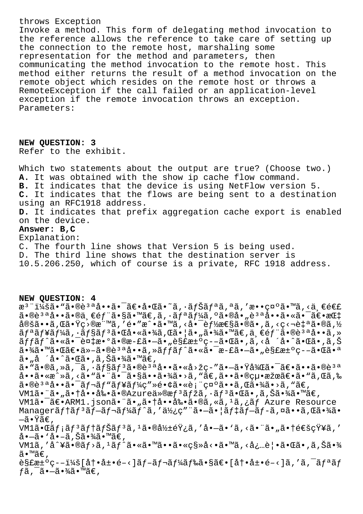## throws Exception

Invoke a method. This form of delegating method invocation to the reference allows the reference to take care of setting up the connection to the remote host, marshaling some representation for the method and parameters, then communicating the method invocation to the remote host. This method either returns the result of a method invocation on the remote object which resides on the remote host or throws a RemoteException if the call failed or an application-level exception if the remote invocation throws an exception. Parameters:

**NEW QUESTION: 3** Refer to the exhibit.

Which two statements about the output are true? (Choose two.) **A.** It was obtained with the show ip cache flow command. **B.** It indicates that the device is using NetFlow version 5. **C.** It indicates that the flows are being sent to a destination using an RFC1918 address. **D.** It indicates that prefix aggregation cache export is enabled on the device. **Answer: B,C** Explanation: C. The fourth line shows that Version 5 is being used. D. The third line shows that the destination server is

10.5.206.250, which of course is a private, RFC 1918 address.

## **NEW QUESTION: 4**

æ<sup>3</sup> ":ã• "ã•®è<sup>3 a</sup>啕㕯〕啌ã•~ã, •ナリã, ªã, ′敕礰ã•™ã, <ä €é€£  $a \cdot \mathbb{R}$ <sup>3 a</sup>å $\cdot \cdot \tilde{a} \cdot \mathbb{R}$ ä,  $\infty$   $\tilde{a}$   $\cdot \tilde{a} \in \mathbb{R}$  and  $\tilde{a}$ ,  $\tilde{a}$  and  $\tilde{a}$  and  $\tilde{a}$  and  $\tilde{a}$  and  $\tilde{a}$  and  $\tilde{a}$  and  $\tilde{a}$  and  $\tilde{a}$  and  $\tilde{a}$  and  $\tilde{a}$  and  $\til$ 定ã••ã,Œã•Ÿç>®æ¨™ã,′é•″æ^•ã•™ã,<啯能性ã•®ã•,ã,<ç<¬è‡ªã•®ã,½ ãfªãf¥ãf¼ã,∙ãf§ãfªã•Œå•«ã•¾ã,Œã•¦ã•"㕾ã•™ã€,一éf¨ã•®èªªå••ã,»  $\tilde{a}ff\tilde{a}f\tilde{a}$ •«ã• $\tilde{a}$ + $\tilde{a}$ + $\tilde{c}$ ) $\tilde{a}$ + $\tilde{c}$   $\tilde{a}$ + $\tilde{c}$   $\tilde{a}$   $\tilde{a}$   $\tilde{c}$   $\tilde{c}$   $\tilde{c}$   $\tilde{c}$   $\tilde{c}$   $\tilde{c}$   $\tilde{c}$   $\tilde{c}$   $\tilde{c}$   $\tilde{c}$   $\tilde{c}$   $\tilde{c}$   $\tilde{$ 㕾㕙㕌〕ä»-㕮說å••ã,»ãffãf^㕫㕯æ-£ã•—ã•"解決ç--㕌㕪 ã•"å ´å•^㕌ã•,ã,Šã•¾ã•™ã€, ã• "ã•®ã, »ã, ¯ã, •ョãƒ3ã•®è3ªå••ã•«å>žç-"㕗㕟後㕯〕ã••ã•®è3ª å••ã•«æ^»ã, <ã• "㕨㕯㕧㕕㕾ã•>ã, "ã€,㕕㕮絕果〕ã• "ã,Œã,‰  $a \cdot b$  $a \cdot a \cdot a \cdot b = a \cdot b$   $a \cdot b \cdot a + b \cdot b$   $b \cdot b \cdot b \cdot b$   $c \cdot b \cdot b \cdot b$  $VM1\tilde{a}$ • " $\tilde{a}$ •  $\tilde{a}$ • †å••剕 $\tilde{a}$ • $\tilde{a}$ zure $\ddot{a}$ » $\tilde{a}$ r $f$ <sup>3</sup> $\tilde{a}$ ,  $\tilde{a}$ r $f$ 3 $\tilde{a}$ • $\tilde{a}$ ,  $\tilde{a}$ ,  $\tilde{a}$ ,  $\tilde{a}$ ,  $\tilde{a}$ ) $\tilde{a}$ VM1ã•<sup>-</sup>〕ARM1.json㕨ã•"㕆啕剕ã•®ã,«ã,<sup>1</sup>ã,¿ãf Azure Resource Managerãftãf<sup>3</sup>ãf-ãf¬ãf¼ãf^ã,'使ç""ã•-ã•|ãf‡ãf-ãf-ã,¤ã••ã,Œã•¾ã• —㕟ã€,  $VM1\tilde{a} \cdot \mathbb{G}$ afiãf $3\tilde{a}f$ tãf $\tilde{a}f$ iã,  $1\tilde{a} \cdot \mathbb{G}$ à $\frac{1}{2}\tilde{a}f$ té $\tilde{y}$ ;ã, 'å $\cdot -\tilde{a} \cdot \tilde{a}$ , <ã $\cdot$ ¨ã $\cdot$ "ã $\cdot$ té $\epsilon$ šç $\tilde{y}$ ¥ã, ' å•–ã• `å•–ã,Šã•¾ã•™ã€,  $VM1\tilde{a}$ ,'å^¥ $\tilde{a} \cdot \tilde{a}f$ > $\tilde{a}$ ,' $\tilde{a}f$ ^ $\tilde{a} \cdot \tilde{a}g$  $\tilde{a} \cdot \tilde{a}g$  $\tilde{a} \cdot \tilde{a}g$  $\tilde{a}g$  $\tilde{a}g$  $\tilde{a}g$  $\tilde{a}g$  $\tilde{a}g$ ã•™ã€, 解決ç–:[冕展開]ブレード㕧〕[冕展開]をクリãƒ  $f$ ã ,  $\bar{a}$  •  $-\tilde{a}$  •  $\frac{3}{4}$ ã •  $\frac{3}{4}$  $\in$  ,